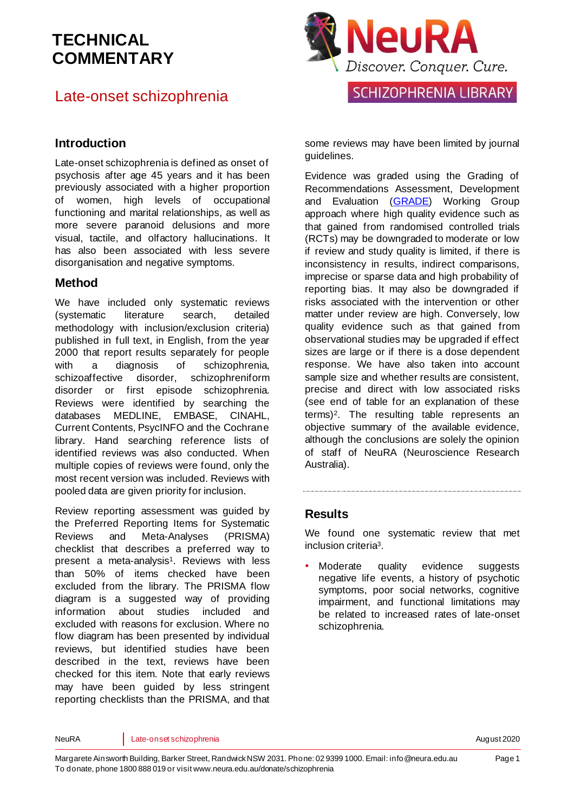## Late-onset schizophrenia



#### **Introduction**

Late-onset schizophrenia is defined as onset of psychosis after age 45 years and it has been previously associated with a higher proportion of women, high levels of occupational functioning and marital relationships, as well as more severe paranoid delusions and more visual, tactile, and olfactory hallucinations. It has also been associated with less severe disorganisation and negative symptoms.

#### **Method**

We have included only systematic reviews (systematic literature search, detailed methodology with inclusion/exclusion criteria) published in full text, in English, from the year 2000 that report results separately for people with a diagnosis of schizophrenia. schizoaffective disorder, schizophreniform disorder or first episode schizophrenia. Reviews were identified by searching the databases MEDLINE, EMBASE, CINAHL, Current Contents, PsycINFO and the Cochrane library. Hand searching reference lists of identified reviews was also conducted. When multiple copies of reviews were found, only the most recent version was included. Reviews with pooled data are given priority for inclusion.

Review reporting assessment was guided by the Preferred Reporting Items for Systematic Reviews and Meta-Analyses (PRISMA) checklist that describes a preferred way to pre[s](#page-5-0)ent a meta-analysis<sup>1</sup>. Reviews with less than 50% of items checked have been excluded from the library. The PRISMA flow diagram is a suggested way of providing information about studies included and excluded with reasons for exclusion. Where no flow diagram has been presented by individual reviews, but identified studies have been described in the text, reviews have been checked for this item. Note that early reviews may have been guided by less stringent reporting checklists than the PRISMA, and that

some reviews may have been limited by journal guidelines.

Evidence was graded using the Grading of Recommendations Assessment, Development and Evaluation [\(GRADE\)](http://www.gradeworkinggroup.org/) Working Group approach where high quality evidence such as that gained from randomised controlled trials (RCTs) may be downgraded to moderate or low if review and study quality is limited, if there is inconsistency in results, indirect comparisons, imprecise or sparse data and high probability of reporting bias. It may also be downgraded if risks associated with the intervention or other matter under review are high. Conversely, low quality evidence such as that gained from observational studies may be upgraded if effect sizes are large or if there is a dose dependent response. We have also taken into account sample size and whether results are consistent, precise and direct with low associated risks (see end of table for an explanation of these terms[\)](#page-5-1)<sup>2</sup> . The resulting table represents an objective summary of the available evidence, although the conclusions are solely the opinion of staff of NeuRA (Neuroscience Research Australia).

#### **Results**

We found one systematic review that met inclusion criteri[a](#page-5-2)<sup>3</sup> .

Moderate quality evidence suggests negative life events, a history of psychotic symptoms, poor social networks, cognitive impairment, and functional limitations may be related to increased rates of late-onset schizophrenia.

NeuRA Late-onset schizophrenia and the constant of the constant of the constant of the constant and the constant of the constant of the constant of the constant of the constant of the constant of the constant of the consta

Page 1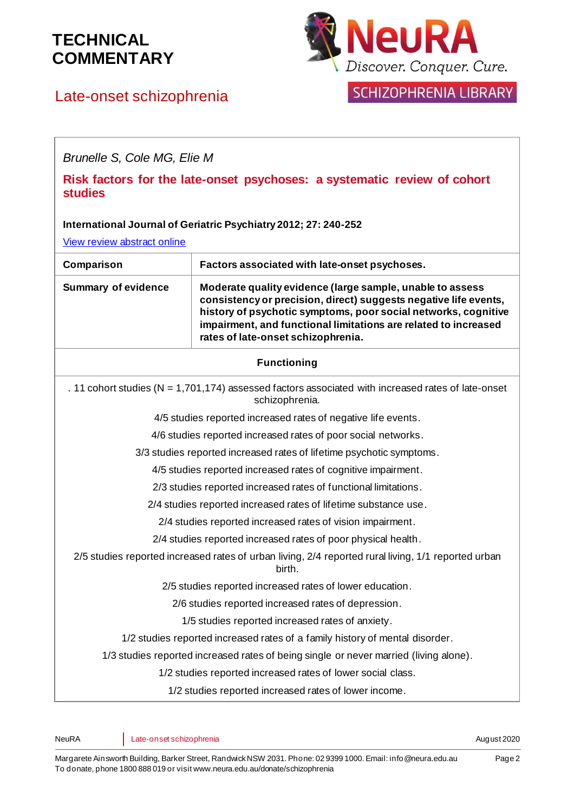

SCHIZOPHRENIA LIBRARY

Late-onset schizophrenia

*Brunelle S, Cole MG, Elie M*

**Risk factors for the late-onset psychoses: a systematic review of cohort studies**

#### **International Journal of Geriatric Psychiatry 2012; 27: 240-252**

[View review abstract online](http://www.ncbi.nlm.nih.gov/pubmed/21472779)

| Comparison                                                                                                               | Factors associated with late-onset psychoses.                                                                                                                                                                                                                                                            |
|--------------------------------------------------------------------------------------------------------------------------|----------------------------------------------------------------------------------------------------------------------------------------------------------------------------------------------------------------------------------------------------------------------------------------------------------|
| <b>Summary of evidence</b>                                                                                               | Moderate quality evidence (large sample, unable to assess<br>consistency or precision, direct) suggests negative life events,<br>history of psychotic symptoms, poor social networks, cognitive<br>impairment, and functional limitations are related to increased<br>rates of late-onset schizophrenia. |
| <b>Functioning</b>                                                                                                       |                                                                                                                                                                                                                                                                                                          |
| . 11 cohort studies ( $N = 1,701,174$ ) assessed factors associated with increased rates of late-onset<br>schizophrenia. |                                                                                                                                                                                                                                                                                                          |
| 4/5 studies reported increased rates of negative life events.                                                            |                                                                                                                                                                                                                                                                                                          |
| 4/6 studies reported increased rates of poor social networks.                                                            |                                                                                                                                                                                                                                                                                                          |
| 3/3 studies reported increased rates of lifetime psychotic symptoms.                                                     |                                                                                                                                                                                                                                                                                                          |
| 4/5 studies reported increased rates of cognitive impairment.                                                            |                                                                                                                                                                                                                                                                                                          |
| 2/3 studies reported increased rates of functional limitations.                                                          |                                                                                                                                                                                                                                                                                                          |
| 2/4 studies reported increased rates of lifetime substance use.                                                          |                                                                                                                                                                                                                                                                                                          |
| 2/4 studies reported increased rates of vision impairment.                                                               |                                                                                                                                                                                                                                                                                                          |
| 2/4 studies reported increased rates of poor physical health.                                                            |                                                                                                                                                                                                                                                                                                          |
| 2/5 studies reported increased rates of urban living, 2/4 reported rural living, 1/1 reported urban<br>birth.            |                                                                                                                                                                                                                                                                                                          |
| 2/5 studies reported increased rates of lower education.                                                                 |                                                                                                                                                                                                                                                                                                          |
| 2/6 studies reported increased rates of depression.                                                                      |                                                                                                                                                                                                                                                                                                          |
| 1/5 studies reported increased rates of anxiety.                                                                         |                                                                                                                                                                                                                                                                                                          |
| 1/2 studies reported increased rates of a family history of mental disorder.                                             |                                                                                                                                                                                                                                                                                                          |
| 1/3 studies reported increased rates of being single or never married (living alone).                                    |                                                                                                                                                                                                                                                                                                          |
| 1/2 studies reported increased rates of lower social class.                                                              |                                                                                                                                                                                                                                                                                                          |
| 1/2 studies reported increased rates of lower income.                                                                    |                                                                                                                                                                                                                                                                                                          |

NeuRA Late-onset schizophrenia and the constant of the constant of the constant of the constant and the constant of the constant of the constant of the constant of the constant of the constant of the constant of the consta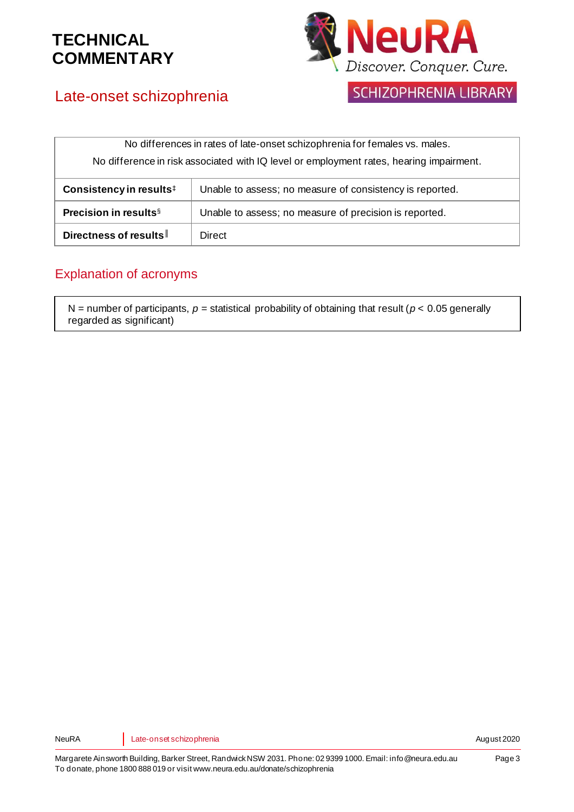

# Late-onset schizophrenia

SCHIZOPHRENIA LIBRARY

| No differences in rates of late-onset schizophrenia for females vs. males.              |                                                          |
|-----------------------------------------------------------------------------------------|----------------------------------------------------------|
| No difference in risk associated with IQ level or employment rates, hearing impairment. |                                                          |
| Consistency in results <sup>‡</sup>                                                     | Unable to assess; no measure of consistency is reported. |
| Precision in results <sup>§</sup>                                                       | Unable to assess; no measure of precision is reported.   |
| Directness of results                                                                   | Direct                                                   |

## Explanation of acronyms

N = number of participants,  $p$  = statistical probability of obtaining that result ( $p$  < 0.05 generally regarded as significant)

NeuRA Late-onset schizophrenia and the constant of the constant of the constant of the constant and the constant of the constant of the constant of the constant of the constant of the constant of the constant of the consta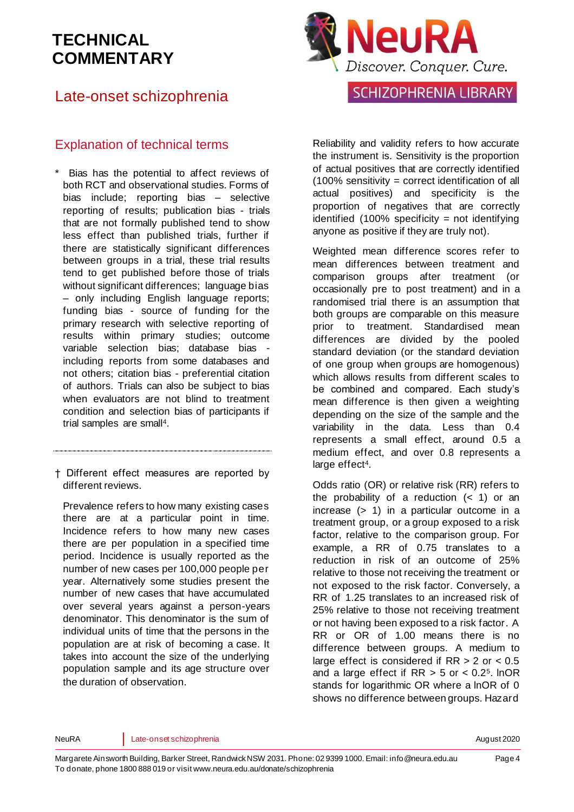## Late-onset schizophrenia

### Explanation of technical terms

- Bias has the potential to affect reviews of both RCT and observational studies. Forms of bias include; reporting bias – selective reporting of results; publication bias - trials that are not formally published tend to show less effect than published trials, further if there are statistically significant differences between groups in a trial, these trial results tend to get published before those of trials without significant differences; language bias – only including English language reports; funding bias - source of funding for the primary research with selective reporting of results within primary studies; outcome variable selection bias; database bias including reports from some databases and not others; citation bias - preferential citation of authors. Trials can also be subject to bias when evaluators are not blind to treatment condition and selection bias of participants if trial samples are small<sup>4</sup>[.](#page-5-3)
- † Different effect measures are reported by different reviews.

Prevalence refers to how many existing cases there are at a particular point in time. Incidence refers to how many new cases there are per population in a specified time period. Incidence is usually reported as the number of new cases per 100,000 people per year. Alternatively some studies present the number of new cases that have accumulated over several years against a person-years denominator. This denominator is the sum of individual units of time that the persons in the population are at risk of becoming a case. It takes into account the size of the underlying population sample and its age structure over the duration of observation.



## **SCHIZOPHRENIA LIBRARY**

Reliability and validity refers to how accurate the instrument is. Sensitivity is the proportion of actual positives that are correctly identified (100% sensitivity = correct identification of all actual positives) and specificity is the proportion of negatives that are correctly identified  $(100\%$  specificity = not identifying anyone as positive if they are truly not).

Weighted mean difference scores refer to mean differences between treatment and comparison groups after treatment (or occasionally pre to post treatment) and in a randomised trial there is an assumption that both groups are comparable on this measure prior to treatment. Standardised mean differences are divided by the pooled standard deviation (or the standard deviation of one group when groups are homogenous) which allows results from different scales to be combined and compared. Each study's mean difference is then given a weighting depending on the size of the sample and the variability in the data. Less than 0.4 represents a small effect, around 0.5 a medium effect, and over 0.8 represents a large effe[ct](#page-5-3)<sup>4</sup>.

Odds ratio (OR) or relative risk (RR) refers to the probability of a reduction  $($   $<$  1) or an increase (> 1) in a particular outcome in a treatment group, or a group exposed to a risk factor, relative to the comparison group. For example, a RR of 0.75 translates to a reduction in risk of an outcome of 25% relative to those not receiving the treatment or not exposed to the risk factor. Conversely, a RR of 1.25 translates to an increased risk of 25% relative to those not receiving treatment or not having been exposed to a risk factor. A RR or OR of 1.00 means there is no difference between groups. A medium to large effect is considered if RR > 2 or < 0.5 and a large effect if  $RR > 5$  or  $< 0.2<sup>5</sup>$  $< 0.2<sup>5</sup>$  $< 0.2<sup>5</sup>$ . InOR stands for logarithmic OR where a lnOR of 0 shows no difference between groups. Hazard

NeuRA Late-onset schizophrenia and the construction of the constant of the constant and the constant and the constant and the constant and the constant and the constant and the constant and the constant and the constant an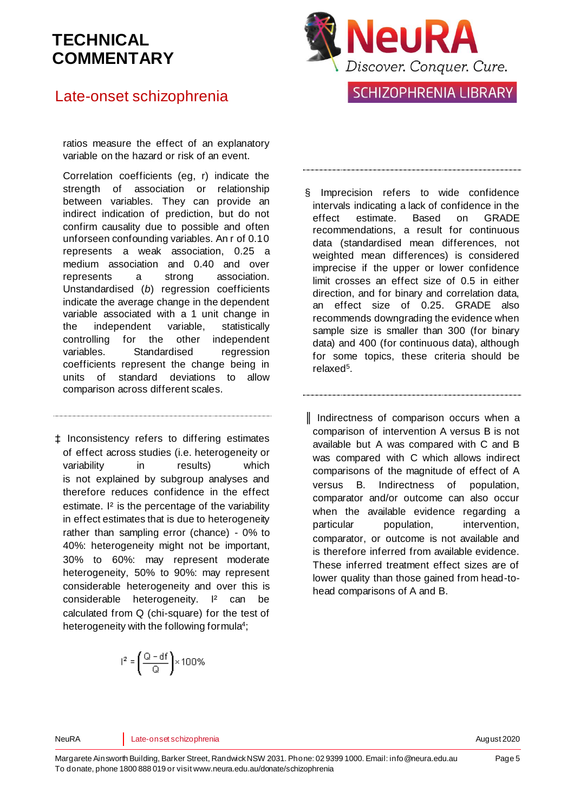## Late-onset schizophrenia

ratios measure the effect of an explanatory variable on the hazard or risk of an event.

Correlation coefficients (eg, r) indicate the strength of association or relationship between variables. They can provide an indirect indication of prediction, but do not confirm causality due to possible and often unforseen confounding variables. An r of 0.10 represents a weak association, 0.25 a medium association and 0.40 and over represents a strong association. Unstandardised (*b*) regression coefficients indicate the average change in the dependent variable associated with a 1 unit change in the independent variable, statistically controlling for the other independent variables. Standardised regression coefficients represent the change being in units of standard deviations to allow comparison across different scales.

‡ Inconsistency refers to differing estimates of effect across studies (i.e. heterogeneity or variability in results) which is not explained by subgroup analyses and therefore reduces confidence in the effect estimate. I² is the percentage of the variability in effect estimates that is due to heterogeneity rather than sampling error (chance) - 0% to 40%: heterogeneity might not be important, 30% to 60%: may represent moderate heterogeneity, 50% to 90%: may represent considerable heterogeneity and over this is considerable heterogeneity. I<sup>2</sup> can be calculated from Q (chi-square) for the test of heterogeneity with the following formul[a](#page-5-3)<sup>4</sup>;

$$
r^2 = \left(\frac{Q - df}{Q}\right) \times 100\%
$$



**SCHIZOPHRENIA LIBRARY** 

- § Imprecision refers to wide confidence intervals indicating a lack of confidence in the effect estimate. Based on GRADE recommendations, a result for continuous data (standardised mean differences, not weighted mean differences) is considered imprecise if the upper or lower confidence limit crosses an effect size of 0.5 in either direction, and for binary and correlation data, an effect size of 0.25. GRADE also recommends downgrading the evidence when sample size is smaller than 300 (for binary data) and 400 (for continuous data), although for some topics, these criteria should be relaxe[d](#page-5-4)<sup>5</sup>.
- ║ Indirectness of comparison occurs when a comparison of intervention A versus B is not available but A was compared with C and B was compared with C which allows indirect comparisons of the magnitude of effect of A versus B. Indirectness of population, comparator and/or outcome can also occur when the available evidence regarding a particular population, intervention, comparator, or outcome is not available and is therefore inferred from available evidence. These inferred treatment effect sizes are of lower quality than those gained from head-tohead comparisons of A and B.